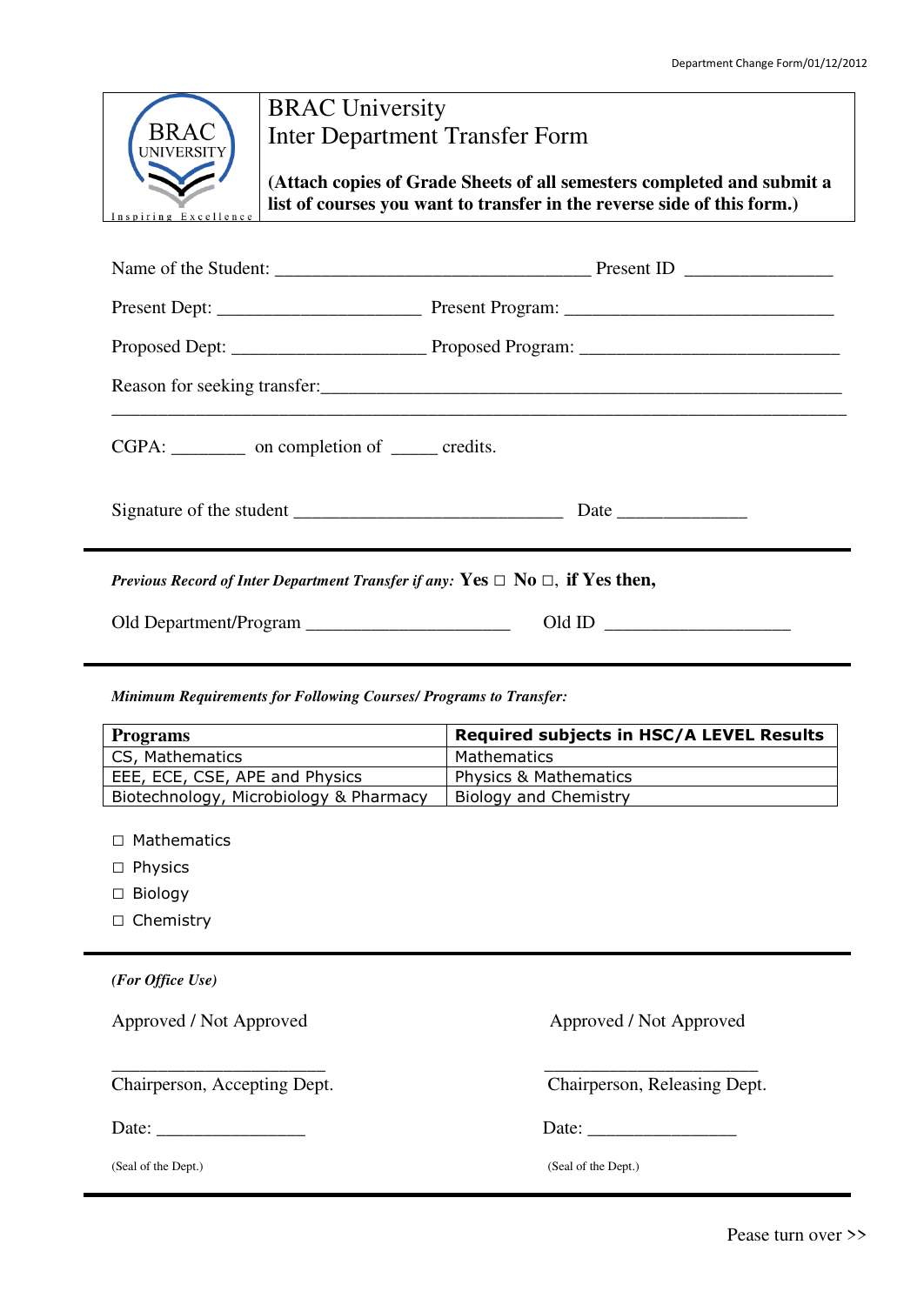|                                                                                          | <b>BRAC University</b>                                                                                                                            |  |  |  |  |
|------------------------------------------------------------------------------------------|---------------------------------------------------------------------------------------------------------------------------------------------------|--|--|--|--|
| <b>BRAC</b><br><b>Inter Department Transfer Form</b><br>UNIVERSITY                       |                                                                                                                                                   |  |  |  |  |
| Inspiring Excellence                                                                     | (Attach copies of Grade Sheets of all semesters completed and submit a<br>list of courses you want to transfer in the reverse side of this form.) |  |  |  |  |
|                                                                                          |                                                                                                                                                   |  |  |  |  |
|                                                                                          |                                                                                                                                                   |  |  |  |  |
|                                                                                          |                                                                                                                                                   |  |  |  |  |
|                                                                                          |                                                                                                                                                   |  |  |  |  |
| CGPA: __________ on completion of ______ credits.                                        |                                                                                                                                                   |  |  |  |  |
|                                                                                          |                                                                                                                                                   |  |  |  |  |
| Previous Record of Inter Department Transfer if any: Yes $\Box$ No $\Box$ , if Yes then, |                                                                                                                                                   |  |  |  |  |
| Old ID $\qquad$                                                                          |                                                                                                                                                   |  |  |  |  |

*Minimum Requirements for Following Courses/ Programs to Transfer:* 

| <b>Programs</b>                        | <b>Required subjects in HSC/A LEVEL Results</b> |  |  |
|----------------------------------------|-------------------------------------------------|--|--|
| CS, Mathematics                        | Mathematics                                     |  |  |
| EEE, ECE, CSE, APE and Physics         | <b>Physics &amp; Mathematics</b>                |  |  |
| Biotechnology, Microbiology & Pharmacy | Biology and Chemistry                           |  |  |

\_\_\_\_\_\_\_\_\_\_\_\_\_\_\_\_\_\_\_\_\_\_\_ \_\_\_\_\_\_\_\_\_\_\_\_\_\_\_\_\_\_\_\_\_\_\_

□ Mathematics

- □ Physics
- □ Biology
- □ Chemistry

*(For Office Use)* 

Approved / Not Approved **Approved Approved Approved Approved Approved Approved** Approved Approved Approved Approved Approved Approved Approved Approved Approved Approved Approved Approved Approved Approved Approved Approve

Date: \_\_\_\_\_\_\_\_\_\_\_\_\_\_\_\_ Date: \_\_\_\_\_\_\_\_\_\_\_\_\_\_\_\_

Chairperson, Accepting Dept. Chairperson, Releasing Dept.

Pease turn over >>

(Seal of the Dept.) (Seal of the Dept.)